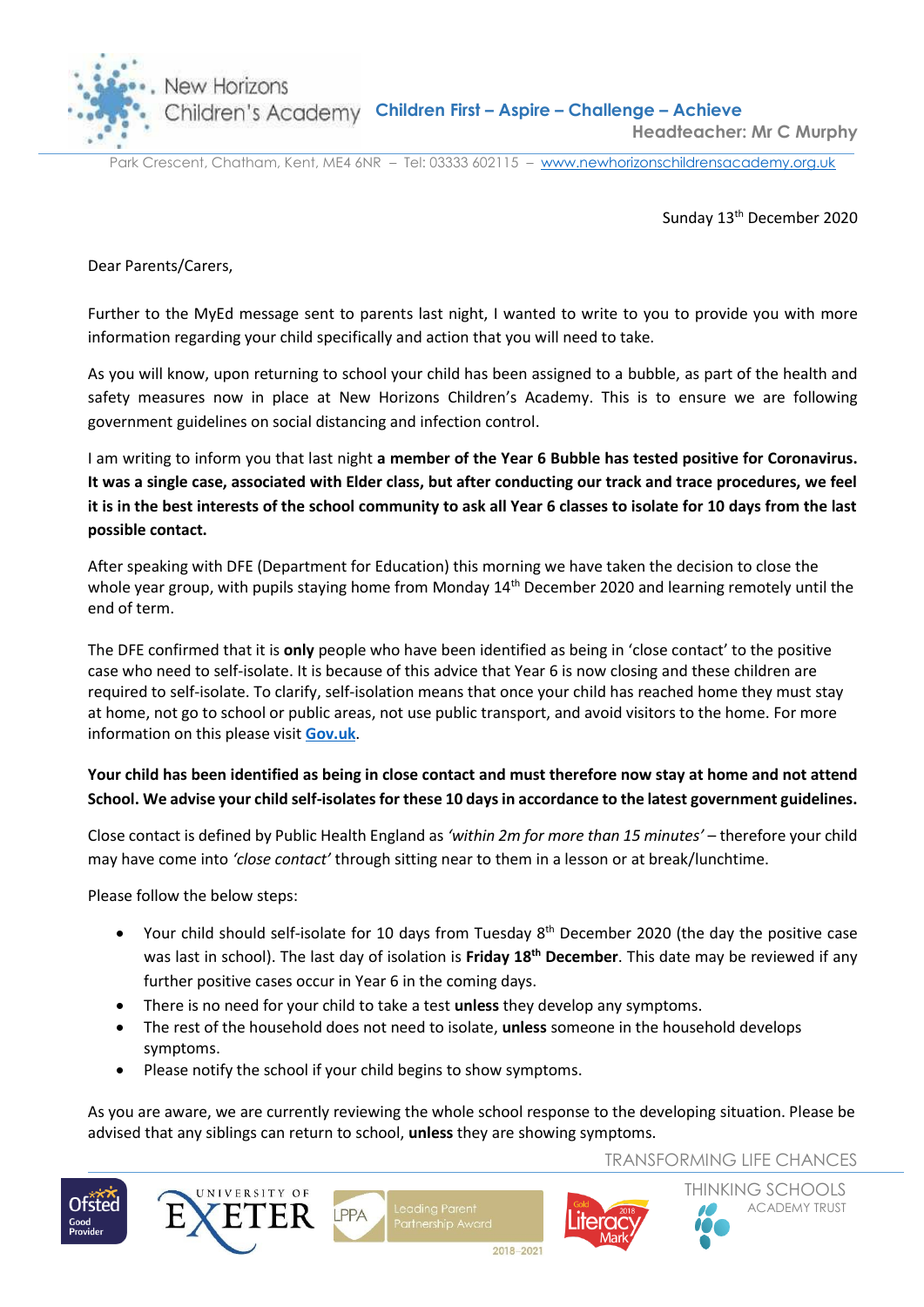New Horizons



**Children's Academy Children First - Aspire - Challenge - Achieve Headteacher: Mr C Murphy**

Park Crescent, Chatham, Kent, ME4 6NR – Tel: 03333 602115 – [www.newhorizonschildrensacademy.org.uk](http://www.newhorizonschildrensacademy.org.uk/)

Sunday 13<sup>th</sup> December 2020

Dear Parents/Carers,

Further to the MyEd message sent to parents last night, I wanted to write to you to provide you with more information regarding your child specifically and action that you will need to take.

As you will know, upon returning to school your child has been assigned to a bubble, as part of the health and safety measures now in place at New Horizons Children's Academy. This is to ensure we are following government guidelines on social distancing and infection control.

I am writing to inform you that last night **a member of the Year 6 Bubble has tested positive for Coronavirus. It was a single case, associated with Elder class, but after conducting our track and trace procedures, we feel it is in the best interests of the school community to ask all Year 6 classes to isolate for 10 days from the last possible contact.** 

After speaking with DFE (Department for Education) this morning we have taken the decision to close the whole year group, with pupils staying home from Monday 14<sup>th</sup> December 2020 and learning remotely until the end of term.

The DFE confirmed that it is **only** people who have been identified as being in 'close contact' to the positive case who need to self-isolate. It is because of this advice that Year 6 is now closing and these children are required to self-isolate. To clarify, self-isolation means that once your child has reached home they must stay at home, not go to school or public areas, not use public transport, and avoid visitors to the home. For more information on this please visit **[Gov.uk](https://publichealthmatters.blog.gov.uk/2020/02/20/what-is-self-isolation-and-why-is-it-important/#:~:text=The%20general%20public%20may%20be%20asked%20to%20self%2Disolate&text=This%20may%20mean%20staying%20indoors,for%20up%20to%2014%20days.)**.

## **Your child has been identified as being in close contact and must therefore now stay at home and not attend School. We advise your child self-isolates for these 10 days in accordance to the latest government guidelines.**

Close contact is defined by Public Health England as *'within 2m for more than 15 minutes'* – therefore your child may have come into *'close contact'* through sitting near to them in a lesson or at break/lunchtime.

Please follow the below steps:

- Your child should self-isolate for 10 days from Tuesday 8<sup>th</sup> December 2020 (the day the positive case was last in school). The last day of isolation is **Friday 18th December**. This date may be reviewed if any further positive cases occur in Year 6 in the coming days.
- There is no need for your child to take a test **unless** they develop any symptoms.
- The rest of the household does not need to isolate, **unless** someone in the household develops symptoms.
- Please notify the school if your child begins to show symptoms.

As you are aware, we are currently reviewing the whole school response to the developing situation. Please be advised that any siblings can return to school, **unless** they are showing symptoms.

TRANSFORMING LIFE CHANCES